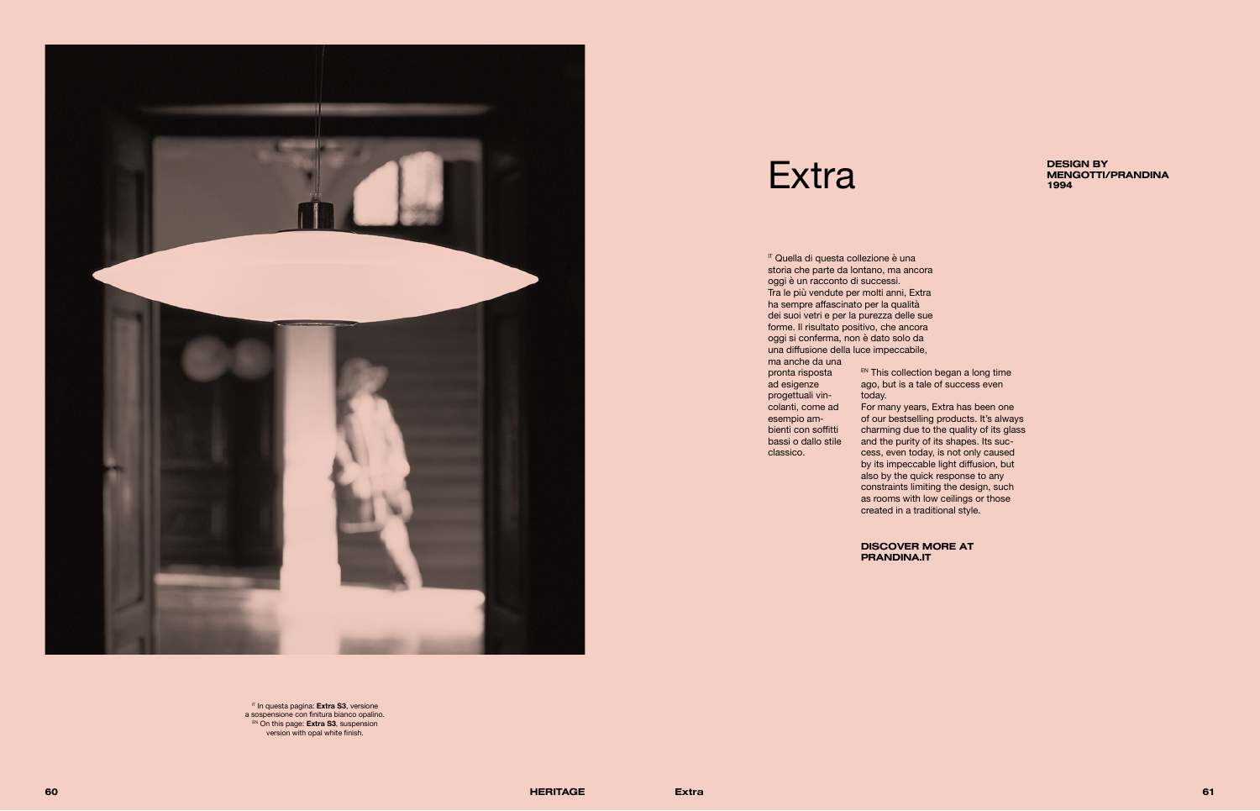

## Extra BESIGN BY DESIGN BY



IT In questa pagina: **Extra S3**, versione a sospensione con finitura bianco opalino. EN On this page: **Extra S3**, suspension version with opal white finish.

DISCOVER MORE AT PRANDINA.IT

<sup>IT</sup> Quella di questa collezione è una storia che parte da lontano, ma ancora oggi è un racconto di successi. Tra le più vendute per molti anni, Extra ha sempre affascinato per la qualità dei suoi vetri e per la purezza delle sue forme. Il risultato positivo, che ancora oggi si conferma, non è dato solo da una diffusione della luce impeccabile,

> **EN This collection began a long time** ago, but is a tale of success even today.

ma anche da una pronta risposta ad esigenze progettuali vincolanti, come ad esempio ambienti con soffitti bassi o dallo stile classico.

For many years, Extra has been one of our bestselling products. It's always charming due to the quality of its glass and the purity of its shapes. Its success, even today, is not only caused by its impeccable light diffusion, but also by the quick response to any constraints limiting the design, such as rooms with low ceilings or those created in a traditional style.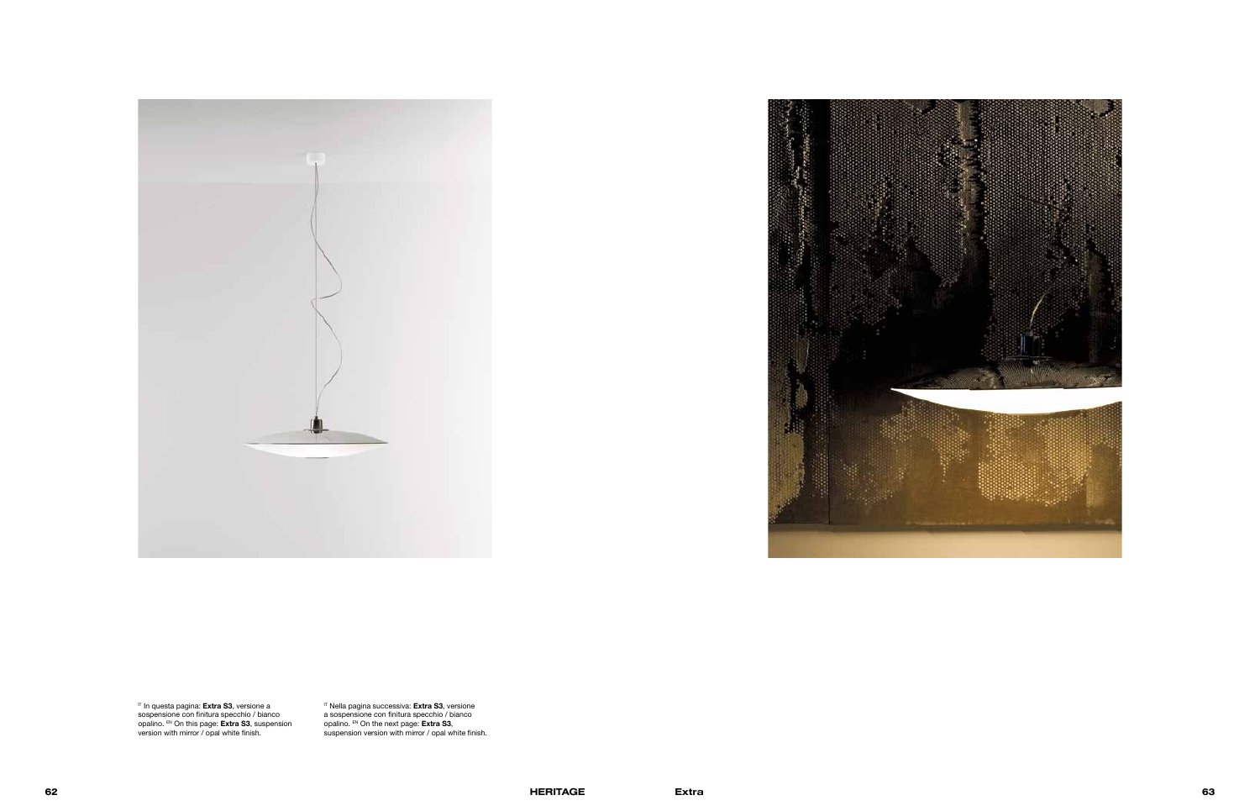



IT In questa pagina: **Extra S3**, versione a sospensione con finitura specchio / bianco opalino. EN On this page: **Extra S3**, suspension version with mirror / opal white finish.

IT Nella pagina successiva: **Extra S3**, versione a sospensione con finitura specchio / bianco opalino. EN On the next page: **Extra S3**, suspension version with mirror / opal white finish.